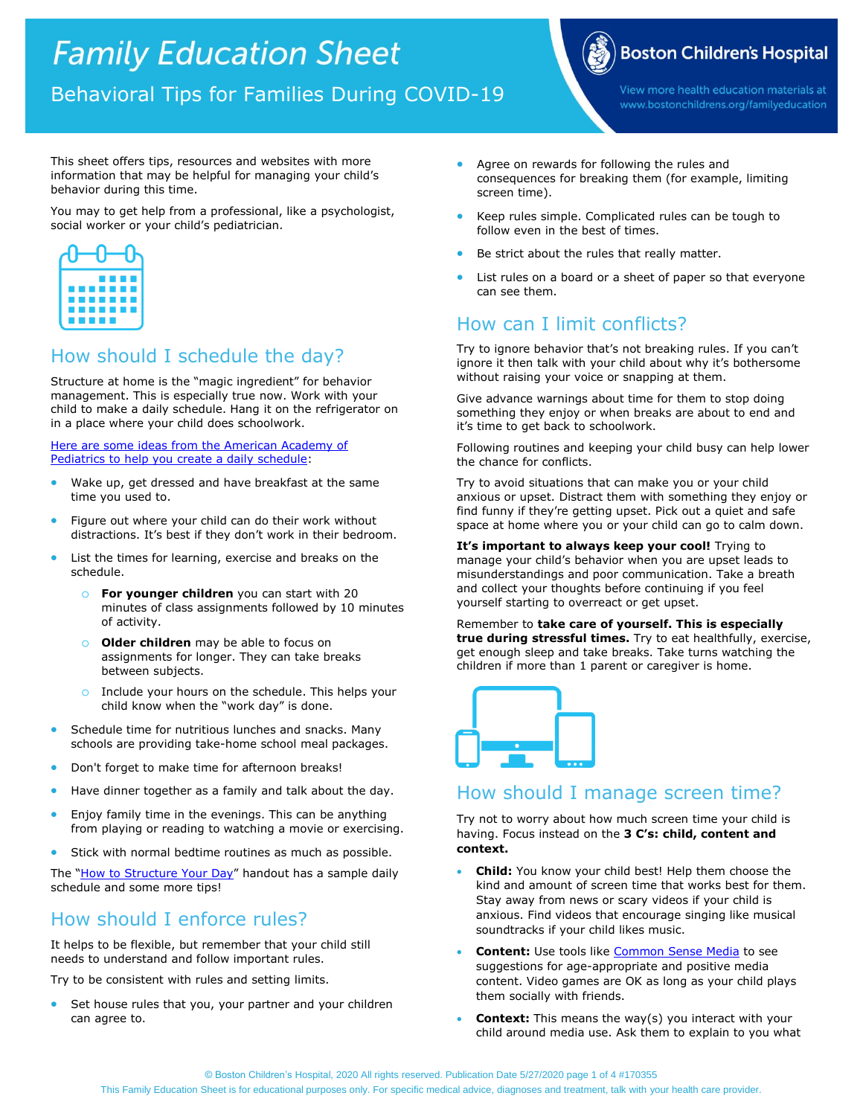# **Family Education Sheet**

Behavioral Tips for Families During COVID-19

**Boston Children's Hospital** 

View more health education materials at www.bostonchildrens.org/familyeducation

This sheet offers tips, resources and websites with more information that may be helpful for managing your child's behavior during this time.

You may to get help from a professional, like a psychologist, social worker or your child's pediatrician.



# How should I schedule the day?

Structure at home is the "magic ingredient" for behavior management. This is especially true now. Work with your child to make a daily schedule. Hang it on the refrigerator on in a place where your child does schoolwork.

[Here are some ideas from the American Academy of](https://healthychildren.org/English/health-issues/conditions/chest-lungs/Pages/Working-and-Learning-from-Home-During-the-COVID-19-Outbreak.aspx)  [Pediatrics to help you create a daily schedule:](https://healthychildren.org/English/health-issues/conditions/chest-lungs/Pages/Working-and-Learning-from-Home-During-the-COVID-19-Outbreak.aspx)

- Wake up, get dressed and have breakfast at the same time you used to.
- Figure out where your child can do their work without distractions. It's best if they don't work in their bedroom.
- List the times for learning, exercise and breaks on the schedule.
	- o **For younger children** you can start with 20 minutes of class assignments followed by 10 minutes of activity.
	- **O Older children** may be able to focus on assignments for longer. They can take breaks between subjects.
	- o Include your hours on the schedule. This helps your child know when the "work day" is done.
- Schedule time for nutritious lunches and snacks. Many schools are providing take-home school meal packages.
- **•** Don't forget to make time for afternoon breaks!
- Have dinner together as a family and talk about the day.
- Enjoy family time in the evenings. This can be anything from playing or reading to watching a movie or exercising.
- Stick with normal bedtime routines as much as possible.

The "[How to Structure Your Day](https://extapps.childrenshospital.org/EFPEC/Home/Sheet/6247)" handout has a sample daily schedule and some more tips!

# How should I enforce rules?

It helps to be flexible, but remember that your child still needs to understand and follow important rules.

Try to be consistent with rules and setting limits.

 Set house rules that you, your partner and your children can agree to.

- Agree on rewards for following the rules and consequences for breaking them (for example, limiting screen time).
- Keep rules simple. Complicated rules can be tough to follow even in the best of times.
- Be strict about the rules that really matter.
- List rules on a board or a sheet of paper so that everyone can see them.

# How can I limit conflicts?

Try to ignore behavior that's not breaking rules. If you can't ignore it then talk with your child about why it's bothersome without raising your voice or snapping at them.

Give advance warnings about time for them to stop doing something they enjoy or when breaks are about to end and it's time to get back to schoolwork.

Following routines and keeping your child busy can help lower the chance for conflicts.

Try to avoid situations that can make you or your child anxious or upset. Distract them with something they enjoy or find funny if they're getting upset. Pick out a quiet and safe space at home where you or your child can go to calm down.

**It's important to always keep your cool!** Trying to manage your child's behavior when you are upset leads to misunderstandings and poor communication. Take a breath and collect your thoughts before continuing if you feel yourself starting to overreact or get upset.

Remember to **take care of yourself. This is especially true during stressful times.** Try to eat healthfully, exercise, get enough sleep and take breaks. Take turns watching the children if more than 1 parent or caregiver is home.



# How should I manage screen time?

Try not to worry about how much screen time your child is having. Focus instead on the **3 C's: child, content and context.**

- **Child:** You know your child best! Help them choose the kind and amount of screen time that works best for them. Stay away from news or scary videos if your child is anxious. Find videos that encourage singing like musical soundtracks if your child likes music.
- **Content:** Use tools like [Common Sense Media](https://www.commonsensemedia.org/) to see suggestions for age-appropriate and positive media content. Video games are OK as long as your child plays them socially with friends.
- **Context:** This means the way(s) you interact with your child around media use. Ask them to explain to you what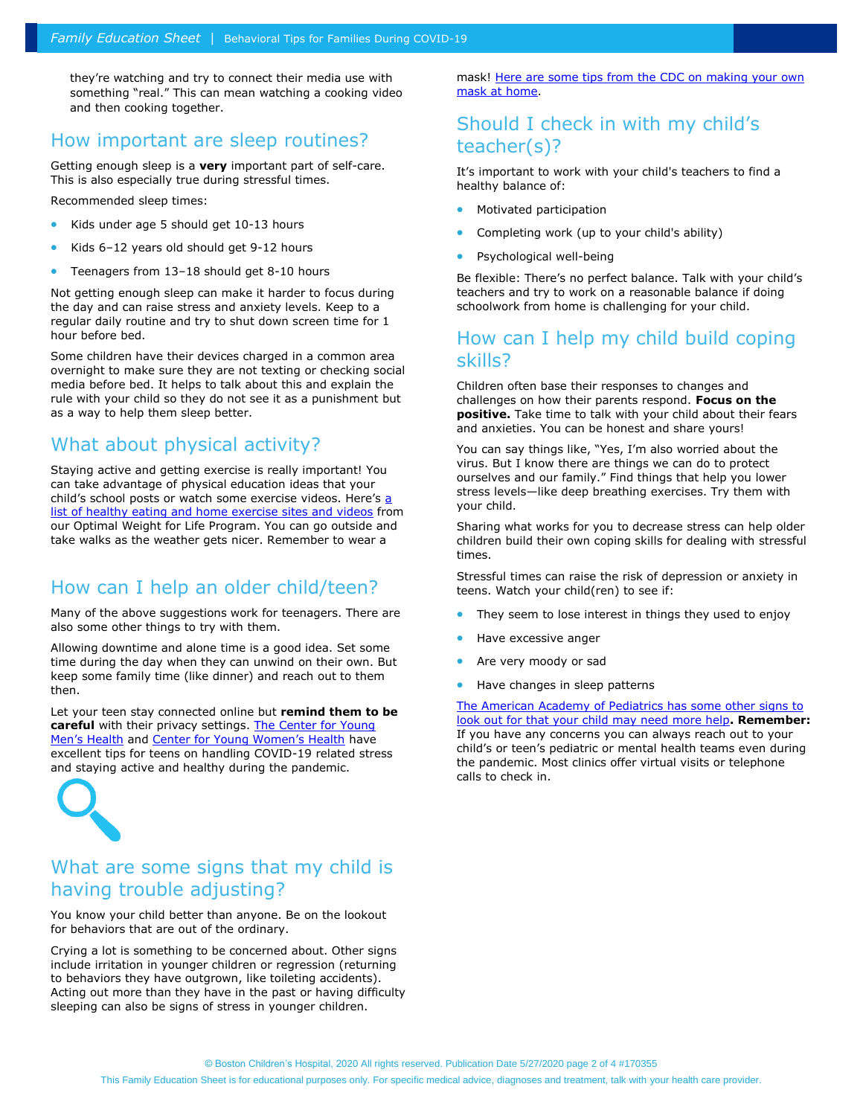they're watching and try to connect their media use with something "real." This can mean watching a cooking video and then cooking together.

## How important are sleep routines?

Getting enough sleep is a **very** important part of self-care. This is also especially true during stressful times.

Recommended sleep times:

- Kids under age 5 should get 10-13 hours
- Kids 6–12 years old should get 9-12 hours
- Teenagers from 13–18 should get 8-10 hours

Not getting enough sleep can make it harder to focus during the day and can raise stress and anxiety levels. Keep to a regular daily routine and try to shut down screen time for 1 hour before bed.

Some children have their devices charged in a common area overnight to make sure they are not texting or checking social media before bed. It helps to talk about this and explain the rule with your child so they do not see it as a punishment but as a way to help them sleep better.

## What about physical activity?

Staying active and getting exercise is really important! You can take advantage of physical education ideas that your child's school posts or watch some exercise videos. Here's [a](https://drive.google.com/open?id=1L3Lun1kWWutYsLJcSH8i5XLIPAeFnakl)  [list of healthy eating and home exercise sites and videos](https://drive.google.com/open?id=1L3Lun1kWWutYsLJcSH8i5XLIPAeFnakl) from our Optimal Weight for Life Program. You can go outside and take walks as the weather gets nicer. Remember to wear a

# How can I help an older child/teen?

Many of the above suggestions work for teenagers. There are also some other things to try with them.

Allowing downtime and alone time is a good idea. Set some time during the day when they can unwind on their own. But keep some family time (like dinner) and reach out to them then.

Let your teen stay connected online but **remind them to be careful** with their privacy settings. [The Center for Young](https://youngmenshealthsite.org/coronavirus-resources)  [Men's Health](https://youngmenshealthsite.org/coronavirus-resources) and [Center for Young Women's Health](https://youngwomenshealth.org/coronavirus-resources/) have excellent tips for teens on handling COVID-19 related stress and staying active and healthy during the pandemic.



# What are some signs that my child is having trouble adjusting?

You know your child better than anyone. Be on the lookout for behaviors that are out of the ordinary.

Crying a lot is something to be concerned about. Other signs include irritation in younger children or regression (returning to behaviors they have outgrown, like toileting accidents). Acting out more than they have in the past or having difficulty sleeping can also be signs of stress in younger children.

mask! Here are some tips from the CDC on making your own [mask at home.](https://www.cdc.gov/coronavirus/2019-ncov/prevent-getting-sick/diy-cloth-face-coverings.html)

# Should I check in with my child's teacher(s)?

It's important to work with your child's teachers to find a healthy balance of:

- Motivated participation
- Completing work (up to your child's ability)
- Psychological well-being

Be flexible: There's no perfect balance. Talk with your child's teachers and try to work on a reasonable balance if doing schoolwork from home is challenging for your child.

# How can I help my child build coping skills?

Children often base their responses to changes and challenges on how their parents respond. **Focus on the positive.** Take time to talk with your child about their fears and anxieties. You can be honest and share yours!

You can say things like, "Yes, I'm also worried about the virus. But I know there are things we can do to protect ourselves and our family." Find things that help you lower stress levels—like deep breathing exercises. Try them with your child.

Sharing what works for you to decrease stress can help older children build their own coping skills for dealing with stressful times.

Stressful times can raise the risk of depression or anxiety in teens. Watch your child(ren) to see if:

- They seem to lose interest in things they used to enjoy
- Have excessive anger
- Are very moody or sad
- Have changes in sleep patterns

The American Academy of Pediatrics has some other signs to [look out for that your child may need more help](https://healthychildren.org/English/health-issues/conditions/chest-lungs/Pages/Signs-your-Teen-May-Need-More-Support.aspx)**. Remember:** If you have any concerns you can always reach out to your child's or teen's pediatric or mental health teams even during the pandemic. Most clinics offer virtual visits or telephone calls to check in.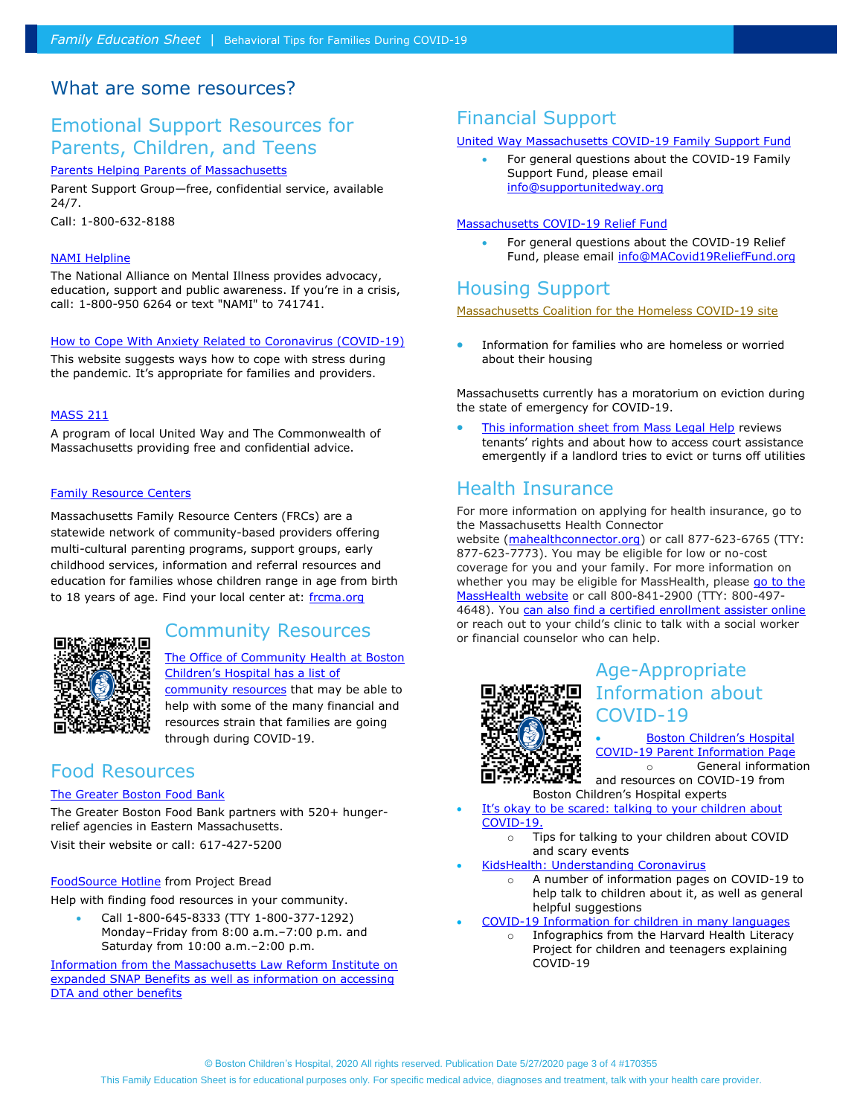#### What are some resources?

# Emotional Support Resources for Parents, Children, and Teens

[Parents Helping Parents of Massachusetts](https://www.parentshelpingparents.org/parental-stress-line)

Parent Support Group—free, confidential service, available 24/7.

Call: 1-800-632-8188

#### [NAMI Helpline](https://www.nami.org/help)

The National Alliance on Mental Illness provides advocacy, education, support and public awareness. If you're in a crisis, call: 1-800-950 6264 or text "NAMI" to 741741.

#### [How to Cope With Anxiety Related to Coronavirus \(COVID-19\)](http://verywellmind.com/managing-coronavirus-anxiety-4798909)

This website suggests ways how to cope with stress during the pandemic. It's appropriate for families and providers.

#### [MASS 211](http://www.mass211.org/)

A program of local United Way and The Commonwealth of Massachusetts providing free and confidential advice.

#### [Family Resource Centers](https://www.frcma.org/)

Massachusetts Family Resource Centers (FRCs) are a statewide network of community-based providers offering multi-cultural parenting programs, support groups, early childhood services, information and referral resources and education for families whose children range in age from birth to 18 years of age. Find your local center at: [frcma.org](https://www.frcma.org/)



## Community Resources

The Office [of Community Health at Boston](http://www.childrenshospital.org/conditions-and-treatments/conditions/c/coronavirus/community-resources)  [Children's Hospital has a list of](http://www.childrenshospital.org/conditions-and-treatments/conditions/c/coronavirus/community-resources) 

[community resources](http://www.childrenshospital.org/conditions-and-treatments/conditions/c/coronavirus/community-resources) that may be able to help with some of the many financial and resources strain that families are going through during COVID-19.

## Food Resources

#### [The Greater Boston Food Bank](http://gbfb.org/need-food)

The Greater Boston Food Bank partners with 520+ hungerrelief agencies in Eastern Massachusetts. Visit their website or call: 617-427-5200

#### [FoodSource Hotline](http://projectbread.org/get-help/foodsource-hotline.html) from Project Bread

Help with finding food resources in your community.

 Call 1-800-645-8333 (TTY 1-800-377-1292) Monday–Friday from 8:00 a.m.–7:00 p.m. and Saturday from 10:00 a.m.–2:00 p.m.

[Information from the Massachusetts Law Reform Institute on](https://docs.google.com/document/d/1gvBDe0LamPn8Y7AFXUGsoKAKyaaz2qqbvWeypdIFG00/edit)  [expanded SNAP Benefits as well as information on accessing](https://docs.google.com/document/d/1gvBDe0LamPn8Y7AFXUGsoKAKyaaz2qqbvWeypdIFG00/edit)  [DTA and other benefits](https://docs.google.com/document/d/1gvBDe0LamPn8Y7AFXUGsoKAKyaaz2qqbvWeypdIFG00/edit)

## Financial Support

#### [United Way Massachusetts COVID-19 Family Support Fund](https://unitedwaymassbay.org/get-involved/covid-19-family-fund/)

 For general questions about the COVID-19 Family Support Fund, please email [info@supportunitedway.org](mailto:info@supportunitedway.org)

#### [Massachusetts COVID-19 Relief Fund](https://www.macovid19relieffund.org/)

 For general questions about the COVID-19 Relief Fund, please email [info@MACovid19ReliefFund.org](mailto:info@MACovid19ReliefFund.org)

## Housing Support

[Massachusetts Coalition for the Homeless COVID-19 site](http://mahomeless.org/advocacy/item/coronavirus)

 Information for families who are homeless or worried about their housing

Massachusetts currently has a moratorium on eviction during the state of emergency for COVID-19.

[This information sheet from Mass Legal Help](http://mahomeless.org/advocacy/item/coronavirus) reviews tenants' rights and about how to access court assistance emergently if a landlord tries to evict or turns off utilities

# Health Insurance

For more information on applying for health insurance, go to the Massachusetts Health Connector website [\(mahealthconnector.org\)](https://www.mahealthconnector.org/) or call 877-623-6765 (TTY: 877-623-7773). You may be eligible for low or no-cost coverage for you and your family. For more information on whether you may be eligible for MassHealth, please go to the [MassHealth website](https://www.mass.gov/information-for-masshealth-applicants) or call 800-841-2900 (TTY: 800-497- 4648). You [can also find a certified enrollment assister online](https://my.mahealthconnector.org/enrollment-assisters) or reach out to your child's clinic to talk with a social worker or financial counselor who can help.



# Age-Appropriate Information about COVID-19

#### [Boston Children's Hospital](http://www.childrenshospital.org/conditions-and-treatments/conditions/c/coronavirus)  [COVID-19 Parent Information Page](http://www.childrenshospital.org/conditions-and-treatments/conditions/c/coronavirus) o General information

and resources on COVID-19 from Boston Children's Hospital experts

- [It's okay to be scared: talking to your childre](https://discoveries.childrenshospital.org/talking-to-kids-about-covid19/)n about [COVID-19.](https://discoveries.childrenshospital.org/talking-to-kids-about-covid19/)
	- o Tips for talking to your children about COVID and scary events
- [KidsHealth: Understanding Coronavirus](/Users/elisprecher/Box%20Sync/Notes%20for%20Parents%20(eli.sprecher@gmail.com)/COVID-19/Drafts/•%09https:/kidshealth.org/en/parents/coronavirus-landing-page.html)
	- o A number of information pages on COVID-19 to help talk to children about it, as well as general helpful suggestions
- [COVID-19 Information for children in many languages](https://covid19healthliteracyproject.com/)
	- o Infographics from the Harvard Health Literacy Project for children and teenagers explaining COVID-19

This Family Education Sheet is for educational purposes only. For specific medical advice, diagnoses and treatment, talk with your health care provider.